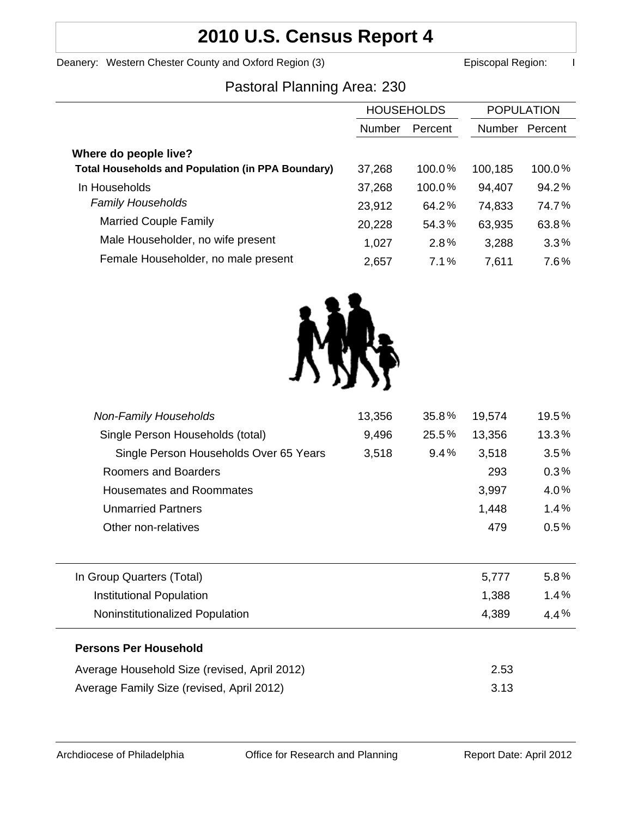# **2010 U.S. Census Report 4**

Deanery: Western Chester County and Oxford Region (3) **Example 20 Exercise 20 Exercise 20** Episcopal Region: I

### Pastoral Planning Area: 230

|                                                          | <b>HOUSEHOLDS</b> |           | <b>POPULATION</b> |         |
|----------------------------------------------------------|-------------------|-----------|-------------------|---------|
|                                                          | <b>Number</b>     | Percent   | <b>Number</b>     | Percent |
| Where do people live?                                    |                   |           |                   |         |
| <b>Total Households and Population (in PPA Boundary)</b> | 37,268            | $100.0\%$ | 100,185           | 100.0%  |
| In Households                                            | 37,268            | $100.0\%$ | 94,407            | 94.2%   |
| <b>Family Households</b>                                 | 23,912            | 64.2%     | 74,833            | 74.7%   |
| <b>Married Couple Family</b>                             | 20,228            | 54.3%     | 63,935            | 63.8%   |
| Male Householder, no wife present                        | 1,027             | 2.8%      | 3,288             | 3.3%    |
| Female Householder, no male present                      | 2,657             | 7.1%      | 7,611             | 7.6%    |



| <b>Non-Family Households</b>                 | 13,356 | 35.8% | 19,574 | 19.5%   |
|----------------------------------------------|--------|-------|--------|---------|
| Single Person Households (total)             | 9,496  | 25.5% | 13,356 | 13.3%   |
| Single Person Households Over 65 Years       | 3,518  | 9.4%  | 3,518  | 3.5%    |
| Roomers and Boarders                         |        |       | 293    | 0.3%    |
| Housemates and Roommates                     |        |       | 3,997  | 4.0%    |
| <b>Unmarried Partners</b>                    |        |       | 1,448  | 1.4%    |
| Other non-relatives                          |        |       | 479    | $0.5\%$ |
|                                              |        |       |        |         |
| In Group Quarters (Total)                    |        |       | 5,777  | $5.8\%$ |
| Institutional Population                     |        |       | 1,388  | 1.4%    |
| Noninstitutionalized Population              |        |       | 4,389  | $4.4\%$ |
| <b>Persons Per Household</b>                 |        |       |        |         |
| Average Household Size (revised, April 2012) |        |       | 2.53   |         |
| Average Family Size (revised, April 2012)    |        |       | 3.13   |         |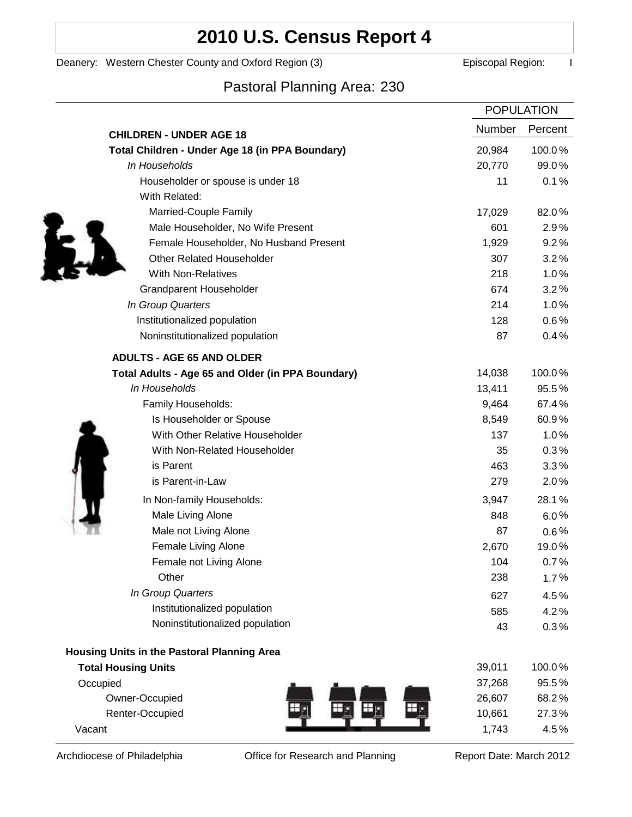## **2010 U.S. Census Report 4**

#### Deanery: Western Chester County and Oxford Region (3) **Example 2** Episcopal Region: I

### Pastoral Planning Area: 230

|                                                   | <b>POPULATION</b> |         |
|---------------------------------------------------|-------------------|---------|
| <b>CHILDREN - UNDER AGE 18</b>                    | Number            | Percent |
| Total Children - Under Age 18 (in PPA Boundary)   | 20,984            | 100.0%  |
| In Households                                     | 20,770            | 99.0%   |
| Householder or spouse is under 18                 | 11                | 0.1%    |
| With Related:                                     |                   |         |
| Married-Couple Family                             | 17,029            | 82.0%   |
| Male Householder, No Wife Present                 | 601               | 2.9%    |
| Female Householder, No Husband Present            | 1,929             | 9.2%    |
| <b>Other Related Householder</b>                  | 307               | 3.2%    |
| <b>With Non-Relatives</b>                         | 218               | 1.0%    |
| Grandparent Householder                           | 674               | 3.2%    |
| In Group Quarters                                 | 214               | 1.0%    |
| Institutionalized population                      | 128               | 0.6%    |
| Noninstitutionalized population                   | 87                | 0.4%    |
| <b>ADULTS - AGE 65 AND OLDER</b>                  |                   |         |
| Total Adults - Age 65 and Older (in PPA Boundary) | 14,038            | 100.0%  |
| In Households                                     | 13,411            | 95.5%   |
| Family Households:                                | 9,464             | 67.4%   |
| Is Householder or Spouse                          | 8,549             | 60.9%   |
| With Other Relative Householder                   | 137               | 1.0%    |
| With Non-Related Householder                      | 35                | 0.3%    |
| is Parent                                         | 463               | 3.3%    |
| is Parent-in-Law                                  | 279               | 2.0%    |
| In Non-family Households:                         | 3,947             | 28.1%   |
| Male Living Alone                                 | 848               | $6.0\%$ |
| Male not Living Alone                             | 87                | $0.6\%$ |
| Female Living Alone                               | 2,670             | 19.0%   |
| Female not Living Alone                           | 104               | 0.7%    |
| Other                                             | 238               | 1.7%    |
| In Group Quarters                                 | 627               | 4.5%    |
| Institutionalized population                      | 585               | 4.2%    |
| Noninstitutionalized population                   | 43                | 0.3%    |
| Housing Units in the Pastoral Planning Area       |                   |         |
| <b>Total Housing Units</b>                        | 39,011            | 100.0%  |
| Occupied                                          | 37,268            | 95.5%   |
| Owner-Occupied                                    | 26,607            | 68.2%   |
| Renter-Occupied                                   | 10,661            | 27.3%   |
| Vacant                                            | 1,743             | 4.5%    |

Archdiocese of Philadelphia **Office for Research and Planning** Report Date: March 2012